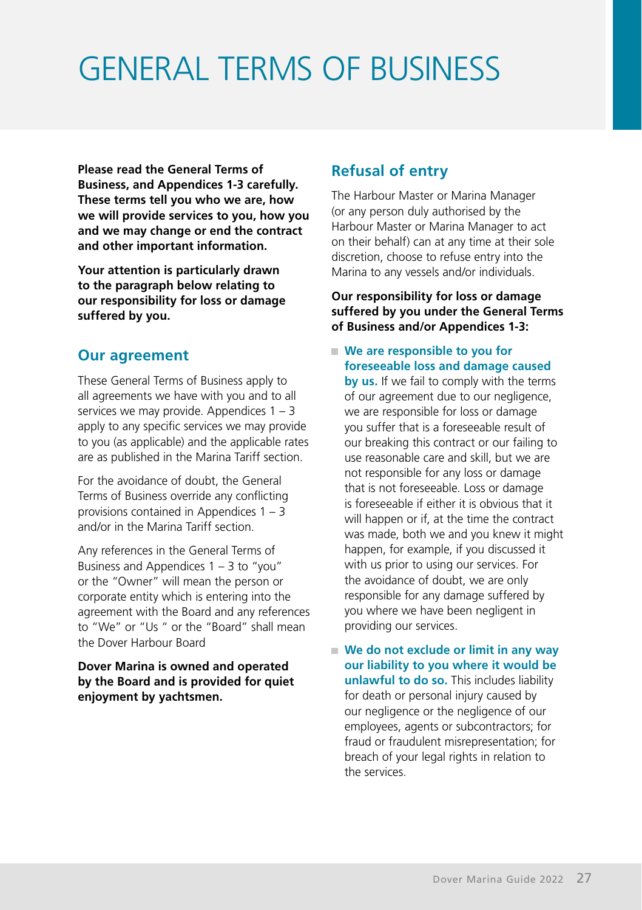# GENERAL TERMS OF BUSINESS

**Please read the General Terms of Business, and Appendices 1-3 carefully. These terms tell you who we are, how we will provide services to you, how you and we may change or end the contract and other important information.**

**Your attention is particularly drawn to the paragraph below relating to our responsibility for loss or damage suffered by you.**

### **Our agreement**

These General Terms of Business apply to all agreements we have with you and to all services we may provide. Appendices  $1 - 3$ apply to any specific services we may provide to you (as applicable) and the applicable rates are as published in the Marina Tariff section.

For the avoidance of doubt, the General Terms of Business override any conflicting provisions contained in Appendices 1 – 3 and/or in the Marina Tariff section.

Any references in the General Terms of Business and Appendices 1 – 3 to "you" or the "Owner" will mean the person or corporate entity which is entering into the agreement with the Board and any references to "We" or "Us " or the "Board" shall mean the Dover Harbour Board

#### **Dover Marina is owned and operated by the Board and is provided for quiet enjoyment by yachtsmen.**

# **Refusal of entry**

The Harbour Master or Marina Manager (or any person duly authorised by the Harbour Master or Marina Manager to act on their behalf) can at any time at their sole discretion, choose to refuse entry into the Marina to any vessels and/or individuals.

#### **Our responsibility for loss or damage suffered by you under the General Terms of Business and/or Appendices 1-3:**

 **We are responsible to you for foreseeable loss and damage caused** 

**by us.** If we fail to comply with the terms of our agreement due to our negligence, we are responsible for loss or damage you suffer that is a foreseeable result of our breaking this contract or our failing to use reasonable care and skill, but we are not responsible for any loss or damage that is not foreseeable. Loss or damage is foreseeable if either it is obvious that it will happen or if, at the time the contract was made, both we and you knew it might happen, for example, if you discussed it with us prior to using our services. For the avoidance of doubt, we are only responsible for any damage suffered by you where we have been negligent in providing our services.

 **We do not exclude or limit in any way our liability to you where it would be unlawful to do so.** This includes liability for death or personal injury caused by our negligence or the negligence of our employees, agents or subcontractors; for fraud or fraudulent misrepresentation; for breach of your legal rights in relation to the services.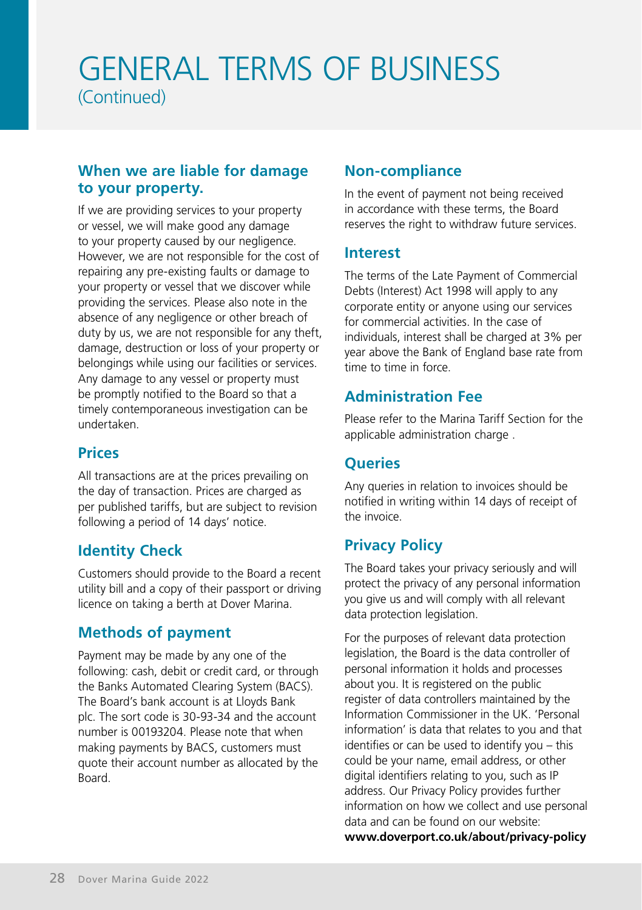# GENERAL TERMS OF BUSINESS (Continued)

### **When we are liable for damage to your property.**

If we are providing services to your property or vessel, we will make good any damage to your property caused by our negligence. However, we are not responsible for the cost of repairing any pre-existing faults or damage to your property or vessel that we discover while providing the services. Please also note in the absence of any negligence or other breach of duty by us, we are not responsible for any theft, damage, destruction or loss of your property or belongings while using our facilities or services. Any damage to any vessel or property must be promptly notified to the Board so that a timely contemporaneous investigation can be undertaken.

### **Prices**

All transactions are at the prices prevailing on the day of transaction. Prices are charged as per published tariffs, but are subject to revision following a period of 14 days' notice.

# **Identity Check**

Customers should provide to the Board a recent utility bill and a copy of their passport or driving licence on taking a berth at Dover Marina.

## **Methods of payment**

Payment may be made by any one of the following: cash, debit or credit card, or through the Banks Automated Clearing System (BACS). The Board's bank account is at Lloyds Bank plc. The sort code is 30-93-34 and the account number is 00193204. Please note that when making payments by BACS, customers must quote their account number as allocated by the Board.

## **Non-compliance**

In the event of payment not being received in accordance with these terms, the Board reserves the right to withdraw future services.

### **Interest**

The terms of the Late Payment of Commercial Debts (Interest) Act 1998 will apply to any corporate entity or anyone using our services for commercial activities. In the case of individuals, interest shall be charged at 3% per year above the Bank of England base rate from time to time in force.

## **Administration Fee**

Please refer to the Marina Tariff Section for the applicable administration charge .

## **Queries**

Any queries in relation to invoices should be notified in writing within 14 days of receipt of the invoice.

## **Privacy Policy**

The Board takes your privacy seriously and will protect the privacy of any personal information you give us and will comply with all relevant data protection legislation.

For the purposes of relevant data protection legislation, the Board is the data controller of personal information it holds and processes about you. It is registered on the public register of data controllers maintained by the Information Commissioner in the UK. 'Personal information' is data that relates to you and that identifies or can be used to identify you – this could be your name, email address, or other digital identifiers relating to you, such as IP address. Our Privacy Policy provides further information on how we collect and use personal data and can be found on our website: **www.doverport.co.uk/about/privacy-policy**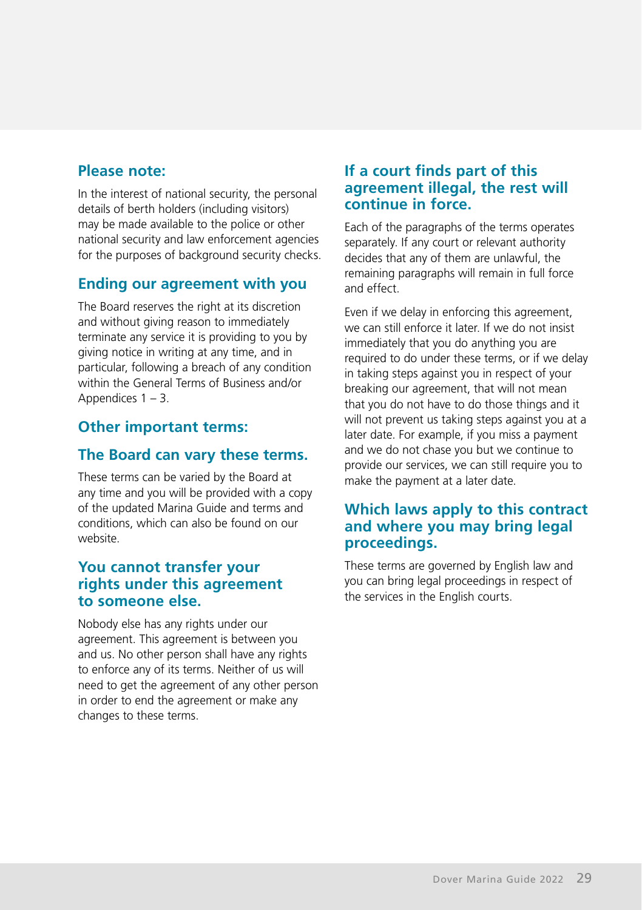## **Please note:**

In the interest of national security, the personal details of berth holders (including visitors) may be made available to the police or other national security and law enforcement agencies for the purposes of background security checks.

## **Ending our agreement with you**

The Board reserves the right at its discretion and without giving reason to immediately terminate any service it is providing to you by giving notice in writing at any time, and in particular, following a breach of any condition within the General Terms of Business and/or Appendices  $1 - 3$ .

## **Other important terms:**

### **The Board can vary these terms.**

These terms can be varied by the Board at any time and you will be provided with a copy of the updated Marina Guide and terms and conditions, which can also be found on our website.

### **You cannot transfer your rights under this agreement to someone else.**

Nobody else has any rights under our agreement. This agreement is between you and us. No other person shall have any rights to enforce any of its terms. Neither of us will need to get the agreement of any other person in order to end the agreement or make any changes to these terms.

### **If a court finds part of this agreement illegal, the rest will continue in force.**

Each of the paragraphs of the terms operates separately. If any court or relevant authority decides that any of them are unlawful, the remaining paragraphs will remain in full force and effect.

Even if we delay in enforcing this agreement, we can still enforce it later. If we do not insist immediately that you do anything you are required to do under these terms, or if we delay in taking steps against you in respect of your breaking our agreement, that will not mean that you do not have to do those things and it will not prevent us taking steps against you at a later date. For example, if you miss a payment and we do not chase you but we continue to provide our services, we can still require you to make the payment at a later date.

### **Which laws apply to this contract and where you may bring legal proceedings.**

These terms are governed by English law and you can bring legal proceedings in respect of the services in the English courts.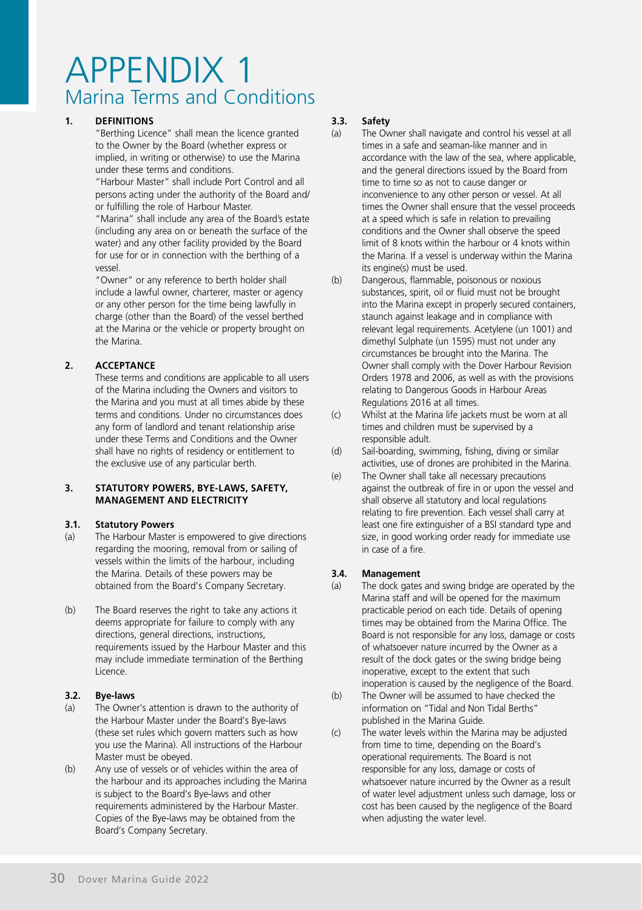#### **1. DEFINITIONS**

"Berthing Licence" shall mean the licence granted to the Owner by the Board (whether express or implied, in writing or otherwise) to use the Marina under these terms and conditions.

 "Harbour Master" shall include Port Control and all persons acting under the authority of the Board and/ or fulfilling the role of Harbour Master.

 "Marina" shall include any area of the Board's estate (including any area on or beneath the surface of the water) and any other facility provided by the Board for use for or in connection with the berthing of a vessel.

 "Owner" or any reference to berth holder shall include a lawful owner, charterer, master or agency or any other person for the time being lawfully in charge (other than the Board) of the vessel berthed at the Marina or the vehicle or property brought on the Marina.

#### **2. ACCEPTANCE**

These terms and conditions are applicable to all users of the Marina including the Owners and visitors to the Marina and you must at all times abide by these terms and conditions. Under no circumstances does any form of landlord and tenant relationship arise under these Terms and Conditions and the Owner shall have no rights of residency or entitlement to the exclusive use of any particular berth.

#### **3. STATUTORY POWERS, BYE-LAWS, SAFETY, MANAGEMENT AND ELECTRICITY**

#### **3.1. Statutory Powers**

- (a) The Harbour Master is empowered to give directions regarding the mooring, removal from or sailing of vessels within the limits of the harbour, including the Marina. Details of these powers may be obtained from the Board's Company Secretary.
- (b) The Board reserves the right to take any actions it deems appropriate for failure to comply with any directions, general directions, instructions, requirements issued by the Harbour Master and this may include immediate termination of the Berthing Licence.

#### **3.2. Bye-laws**

- (a) The Owner's attention is drawn to the authority of the Harbour Master under the Board's Bye-laws (these set rules which govern matters such as how you use the Marina). All instructions of the Harbour Master must be obeyed.
- (b) Any use of vessels or of vehicles within the area of the harbour and its approaches including the Marina is subject to the Board's Bye-laws and other requirements administered by the Harbour Master. Copies of the Bye-laws may be obtained from the Board's Company Secretary.

# **3.3. Safety**

- The Owner shall navigate and control his vessel at all times in a safe and seaman-like manner and in accordance with the law of the sea, where applicable, and the general directions issued by the Board from time to time so as not to cause danger or inconvenience to any other person or vessel. At all times the Owner shall ensure that the vessel proceeds at a speed which is safe in relation to prevailing conditions and the Owner shall observe the speed limit of 8 knots within the harbour or 4 knots within the Marina. If a vessel is underway within the Marina its engine(s) must be used.
- (b) Dangerous, flammable, poisonous or noxious substances, spirit, oil or fluid must not be brought into the Marina except in properly secured containers, staunch against leakage and in compliance with relevant legal requirements. Acetylene (un 1001) and dimethyl Sulphate (un 1595) must not under any circumstances be brought into the Marina. The Owner shall comply with the Dover Harbour Revision Orders 1978 and 2006, as well as with the provisions relating to Dangerous Goods in Harbour Areas Regulations 2016 at all times.
- (c) Whilst at the Marina life jackets must be worn at all times and children must be supervised by a responsible adult.
- (d) Sail-boarding, swimming, fishing, diving or similar activities, use of drones are prohibited in the Marina.
- (e) The Owner shall take all necessary precautions against the outbreak of fire in or upon the vessel and shall observe all statutory and local regulations relating to fire prevention. Each vessel shall carry at least one fire extinguisher of a BSI standard type and size, in good working order ready for immediate use in case of a fire.

#### **3.4. Management**

- (a) The dock gates and swing bridge are operated by the Marina staff and will be opened for the maximum practicable period on each tide. Details of opening times may be obtained from the Marina Office. The Board is not responsible for any loss, damage or costs of whatsoever nature incurred by the Owner as a result of the dock gates or the swing bridge being inoperative, except to the extent that such inoperation is caused by the negligence of the Board.
- (b) The Owner will be assumed to have checked the information on "Tidal and Non Tidal Berths" published in the Marina Guide.
- (c) The water levels within the Marina may be adjusted from time to time, depending on the Board's operational requirements. The Board is not responsible for any loss, damage or costs of whatsoever nature incurred by the Owner as a result of water level adjustment unless such damage, loss or cost has been caused by the negligence of the Board when adjusting the water level.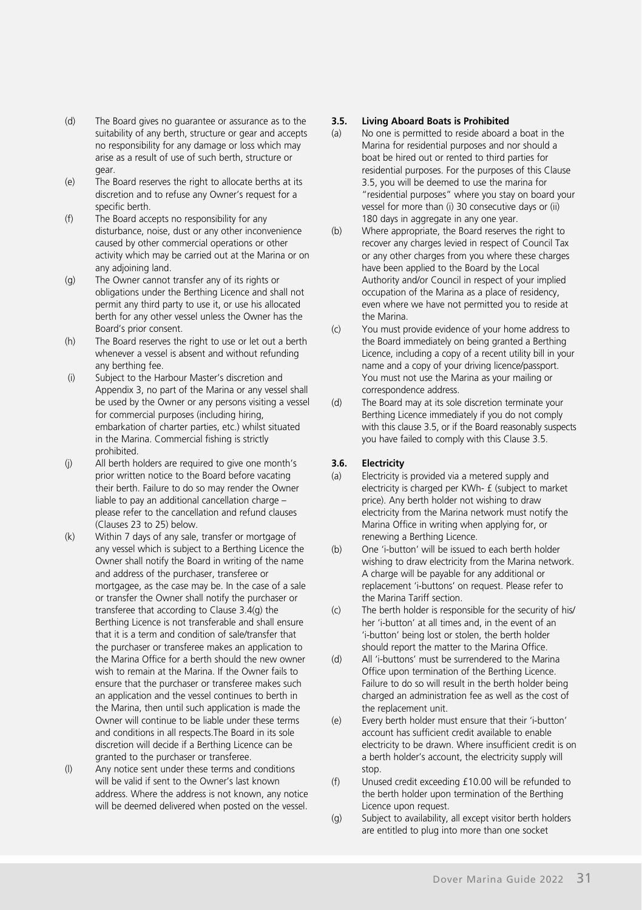- (d) The Board gives no guarantee or assurance as to the suitability of any berth, structure or gear and accepts no responsibility for any damage or loss which may arise as a result of use of such berth, structure or gear.
- (e) The Board reserves the right to allocate berths at its discretion and to refuse any Owner's request for a specific berth.
- (f) The Board accepts no responsibility for any disturbance, noise, dust or any other inconvenience caused by other commercial operations or other activity which may be carried out at the Marina or on any adjoining land.
- (g) The Owner cannot transfer any of its rights or obligations under the Berthing Licence and shall not permit any third party to use it, or use his allocated berth for any other vessel unless the Owner has the Board's prior consent.
- (h) The Board reserves the right to use or let out a berth whenever a vessel is absent and without refunding any berthing fee.
- (i) Subject to the Harbour Master's discretion and Appendix 3, no part of the Marina or any vessel shall be used by the Owner or any persons visiting a vessel for commercial purposes (including hiring, embarkation of charter parties, etc.) whilst situated in the Marina. Commercial fishing is strictly prohibited.
- (j) All berth holders are required to give one month's prior written notice to the Board before vacating their berth. Failure to do so may render the Owner liable to pay an additional cancellation charge – please refer to the cancellation and refund clauses (Clauses 23 to 25) below.
- (k) Within 7 days of any sale, transfer or mortgage of any vessel which is subject to a Berthing Licence the Owner shall notify the Board in writing of the name and address of the purchaser, transferee or mortgagee, as the case may be. In the case of a sale or transfer the Owner shall notify the purchaser or transferee that according to Clause 3.4(g) the Berthing Licence is not transferable and shall ensure that it is a term and condition of sale/transfer that the purchaser or transferee makes an application to the Marina Office for a berth should the new owner wish to remain at the Marina. If the Owner fails to ensure that the purchaser or transferee makes such an application and the vessel continues to berth in the Marina, then until such application is made the Owner will continue to be liable under these terms and conditions in all respects.The Board in its sole discretion will decide if a Berthing Licence can be granted to the purchaser or transferee.
- (l) Any notice sent under these terms and conditions will be valid if sent to the Owner's last known address. Where the address is not known, any notice will be deemed delivered when posted on the vessel.

#### **3.5. Living Aboard Boats is Prohibited**

- (a) No one is permitted to reside aboard a boat in the Marina for residential purposes and nor should a boat be hired out or rented to third parties for residential purposes. For the purposes of this Clause 3.5, you will be deemed to use the marina for "residential purposes" where you stay on board your vessel for more than (i) 30 consecutive days or (ii) 180 days in aggregate in any one year.
- (b) Where appropriate, the Board reserves the right to recover any charges levied in respect of Council Tax or any other charges from you where these charges have been applied to the Board by the Local Authority and/or Council in respect of your implied occupation of the Marina as a place of residency, even where we have not permitted you to reside at the Marina.
- (c) You must provide evidence of your home address to the Board immediately on being granted a Berthing Licence, including a copy of a recent utility bill in your name and a copy of your driving licence/passport. You must not use the Marina as your mailing or correspondence address.
- (d) The Board may at its sole discretion terminate your Berthing Licence immediately if you do not comply with this clause 3.5, or if the Board reasonably suspects you have failed to comply with this Clause 3.5.

#### **3.6. Electricity**

- (a) Electricity is provided via a metered supply and electricity is charged per KWh- £ (subject to market price). Any berth holder not wishing to draw electricity from the Marina network must notify the Marina Office in writing when applying for, or renewing a Berthing Licence.
- (b) One 'i-button' will be issued to each berth holder wishing to draw electricity from the Marina network. A charge will be payable for any additional or replacement 'i-buttons' on request. Please refer to the Marina Tariff section.
- (c) The berth holder is responsible for the security of his/ her 'i-button' at all times and, in the event of an 'i-button' being lost or stolen, the berth holder should report the matter to the Marina Office.
- (d) All 'i-buttons' must be surrendered to the Marina Office upon termination of the Berthing Licence. Failure to do so will result in the berth holder being charged an administration fee as well as the cost of the replacement unit.
- (e) Every berth holder must ensure that their 'i-button' account has sufficient credit available to enable electricity to be drawn. Where insufficient credit is on a berth holder's account, the electricity supply will stop
- (f) Unused credit exceeding £10.00 will be refunded to the berth holder upon termination of the Berthing Licence upon request.
- (g) Subject to availability, all except visitor berth holders are entitled to plug into more than one socket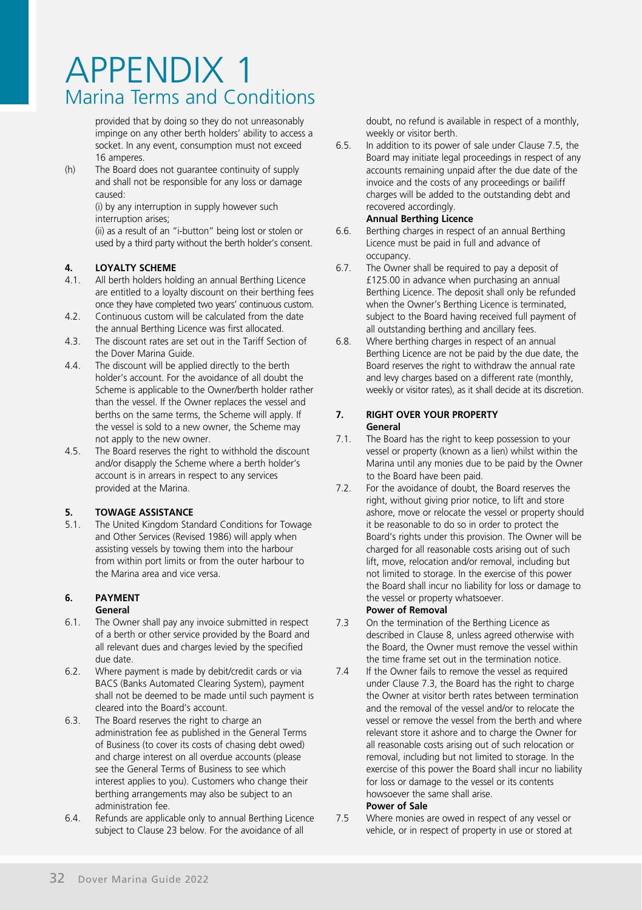provided that by doing so they do not unreasonably impinge on any other berth holders' ability to access a socket. In any event, consumption must not exceed 16 amperes.

(h) The Board does not guarantee continuity of supply and shall not be responsible for any loss or damage caused:

(i) by any interruption in supply however such interruption arises;

 (ii) as a result of an "i-button" being lost or stolen or used by a third party without the berth holder's consent.

# **4. LOYALTY SCHEME**<br> *A*<sub>1</sub> **All berth holders hol**

- 4.1. All berth holders holding an annual Berthing Licence are entitled to a loyalty discount on their berthing fees once they have completed two years' continuous custom.
- 4.2. Continuous custom will be calculated from the date the annual Berthing Licence was first allocated.
- 4.3. The discount rates are set out in the Tariff Section of the Dover Marina Guide.
- 4.4. The discount will be applied directly to the berth holder's account. For the avoidance of all doubt the Scheme is applicable to the Owner/berth holder rather than the vessel. If the Owner replaces the vessel and berths on the same terms, the Scheme will apply. If the vessel is sold to a new owner, the Scheme may not apply to the new owner.
- 4.5. The Board reserves the right to withhold the discount and/or disapply the Scheme where a berth holder's account is in arrears in respect to any services provided at the Marina.

#### **5. TOWAGE ASSISTANCE**

5.1. The United Kingdom Standard Conditions for Towage and Other Services (Revised 1986) will apply when assisting vessels by towing them into the harbour from within port limits or from the outer harbour to the Marina area and vice versa.

#### **6. PAYMENT General**

- 6.1. The Owner shall pay any invoice submitted in respect of a berth or other service provided by the Board and all relevant dues and charges levied by the specified due date.
- 6.2. Where payment is made by debit/credit cards or via BACS (Banks Automated Clearing System), payment shall not be deemed to be made until such payment is cleared into the Board's account.
- 6.3. The Board reserves the right to charge an administration fee as published in the General Terms of Business (to cover its costs of chasing debt owed) and charge interest on all overdue accounts (please see the General Terms of Business to see which interest applies to you). Customers who change their berthing arrangements may also be subject to an administration fee.
- 6.4. Refunds are applicable only to annual Berthing Licence subject to Clause 23 below. For the avoidance of all

doubt, no refund is available in respect of a monthly, weekly or visitor berth.

6.5. In addition to its power of sale under Clause 7.5, the Board may initiate legal proceedings in respect of any accounts remaining unpaid after the due date of the invoice and the costs of any proceedings or bailiff charges will be added to the outstanding debt and recovered accordingly.

#### **Annual Berthing Licence**

- 6.6. Berthing charges in respect of an annual Berthing Licence must be paid in full and advance of occupancy.
- 6.7. The Owner shall be required to pay a deposit of £125.00 in advance when purchasing an annual Berthing Licence. The deposit shall only be refunded when the Owner's Berthing Licence is terminated, subject to the Board having received full payment of all outstanding berthing and ancillary fees.
- 6.8. Where berthing charges in respect of an annual Berthing Licence are not be paid by the due date, the Board reserves the right to withdraw the annual rate and levy charges based on a different rate (monthly, weekly or visitor rates), as it shall decide at its discretion.

#### **7. RIGHT OVER YOUR PROPERTY General**

- 7.1. The Board has the right to keep possession to your vessel or property (known as a lien) whilst within the Marina until any monies due to be paid by the Owner to the Board have been paid.
- 7.2. For the avoidance of doubt, the Board reserves the right, without giving prior notice, to lift and store ashore, move or relocate the vessel or property should it be reasonable to do so in order to protect the Board's rights under this provision. The Owner will be charged for all reasonable costs arising out of such lift, move, relocation and/or removal, including but not limited to storage. In the exercise of this power the Board shall incur no liability for loss or damage to the vessel or property whatsoever.

#### **Power of Removal**

- 7.3 On the termination of the Berthing Licence as described in Clause 8, unless agreed otherwise with the Board, the Owner must remove the vessel within the time frame set out in the termination notice.
- 7.4 If the Owner fails to remove the vessel as required under Clause 7.3, the Board has the right to charge the Owner at visitor berth rates between termination and the removal of the vessel and/or to relocate the vessel or remove the vessel from the berth and where relevant store it ashore and to charge the Owner for all reasonable costs arising out of such relocation or removal, including but not limited to storage. In the exercise of this power the Board shall incur no liability for loss or damage to the vessel or its contents howsoever the same shall arise.

#### **Power of Sale**

7.5 Where monies are owed in respect of any vessel or vehicle, or in respect of property in use or stored at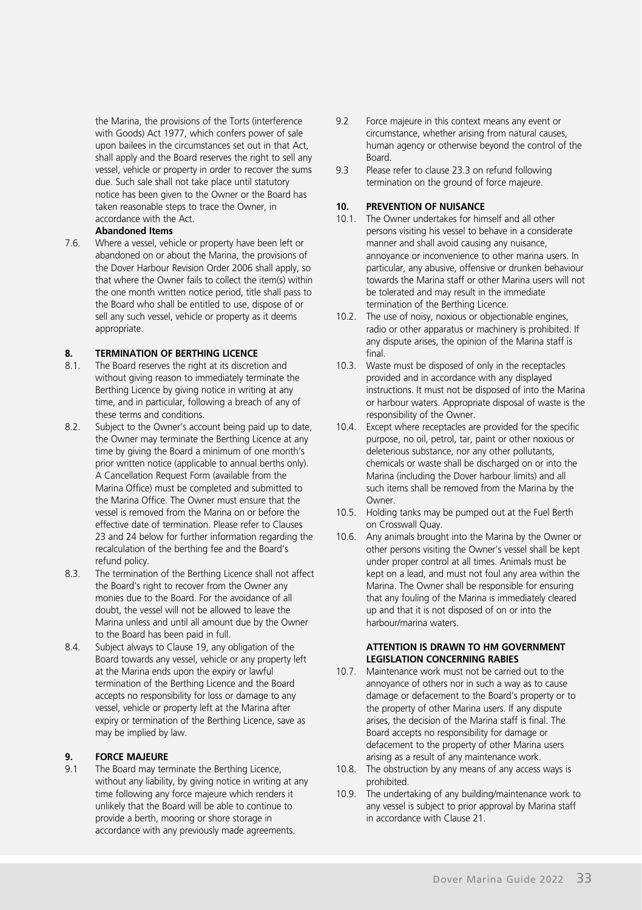the Marina, the provisions of the Torts (interference with Goods) Act 1977, which confers power of sale upon bailees in the circumstances set out in that Act, shall apply and the Board reserves the right to sell any vessel, vehicle or property in order to recover the sums due. Such sale shall not take place until statutory notice has been given to the Owner or the Board has taken reasonable steps to trace the Owner, in accordance with the Act.

#### **Abandoned Items**

7.6. Where a vessel, vehicle or property have been left or abandoned on or about the Marina, the provisions of the Dover Harbour Revision Order 2006 shall apply, so that where the Owner fails to collect the item(s) within the one month written notice period, title shall pass to the Board who shall be entitled to use, dispose of or sell any such vessel, vehicle or property as it deems appropriate.

# **8. TERMINATION OF BERTHING LICENCE**<br>**8.1** The Board reserves the right at its discretive

- The Board reserves the right at its discretion and without giving reason to immediately terminate the Berthing Licence by giving notice in writing at any time, and in particular, following a breach of any of these terms and conditions.
- 8.2. Subject to the Owner's account being paid up to date, the Owner may terminate the Berthing Licence at any time by giving the Board a minimum of one month's prior written notice (applicable to annual berths only). A Cancellation Request Form (available from the Marina Office) must be completed and submitted to the Marina Office. The Owner must ensure that the vessel is removed from the Marina on or before the effective date of termination. Please refer to Clauses 23 and 24 below for further information regarding the recalculation of the berthing fee and the Board's refund policy.
- 8.3. The termination of the Berthing Licence shall not affect the Board's right to recover from the Owner any monies due to the Board. For the avoidance of all doubt, the vessel will not be allowed to leave the Marina unless and until all amount due by the Owner to the Board has been paid in full.
- 8.4. Subject always to Clause 19, any obligation of the Board towards any vessel, vehicle or any property left at the Marina ends upon the expiry or lawful termination of the Berthing Licence and the Board accepts no responsibility for loss or damage to any vessel, vehicle or property left at the Marina after expiry or termination of the Berthing Licence, save as may be implied by law.

# **9. FORCE MAJEURE**<br>**9.1 The Board may term**

The Board may terminate the Berthing Licence, without any liability, by giving notice in writing at any time following any force majeure which renders it unlikely that the Board will be able to continue to provide a berth, mooring or shore storage in accordance with any previously made agreements.

- 9.2 Force majeure in this context means any event or circumstance, whether arising from natural causes, human agency or otherwise beyond the control of the Board.
- 9.3 Please refer to clause 23.3 on refund following termination on the ground of force majeure.

#### **10. PREVENTION OF NUISANCE**

- 10.1. The Owner undertakes for himself and all other persons visiting his vessel to behave in a considerate manner and shall avoid causing any nuisance, annoyance or inconvenience to other marina users. In particular, any abusive, offensive or drunken behaviour towards the Marina staff or other Marina users will not be tolerated and may result in the immediate termination of the Berthing Licence.
- 10.2. The use of noisy, noxious or objectionable engines, radio or other apparatus or machinery is prohibited. If any dispute arises, the opinion of the Marina staff is final.
- 10.3. Waste must be disposed of only in the receptacles provided and in accordance with any displayed instructions. It must not be disposed of into the Marina or harbour waters. Appropriate disposal of waste is the responsibility of the Owner.
- 10.4. Except where receptacles are provided for the specific purpose, no oil, petrol, tar, paint or other noxious or deleterious substance, nor any other pollutants, chemicals or waste shall be discharged on or into the Marina (including the Dover harbour limits) and all such items shall be removed from the Marina by the **Owner**
- 10.5. Holding tanks may be pumped out at the Fuel Berth on Crosswall Quay.
- 10.6. Any animals brought into the Marina by the Owner or other persons visiting the Owner's vessel shall be kept under proper control at all times. Animals must be kept on a lead, and must not foul any area within the Marina. The Owner shall be responsible for ensuring that any fouling of the Marina is immediately cleared up and that it is not disposed of on or into the harbour/marina waters.

#### **ATTENTION IS DRAWN TO HM GOVERNMENT LEGISLATION CONCERNING RABIES**

- 10.7. Maintenance work must not be carried out to the annoyance of others nor in such a way as to cause damage or defacement to the Board's property or to the property of other Marina users. If any dispute arises, the decision of the Marina staff is final. The Board accepts no responsibility for damage or defacement to the property of other Marina users arising as a result of any maintenance work.
- 10.8. The obstruction by any means of any access ways is prohibited.
- 10.9. The undertaking of any building/maintenance work to any vessel is subject to prior approval by Marina staff in accordance with Clause 21.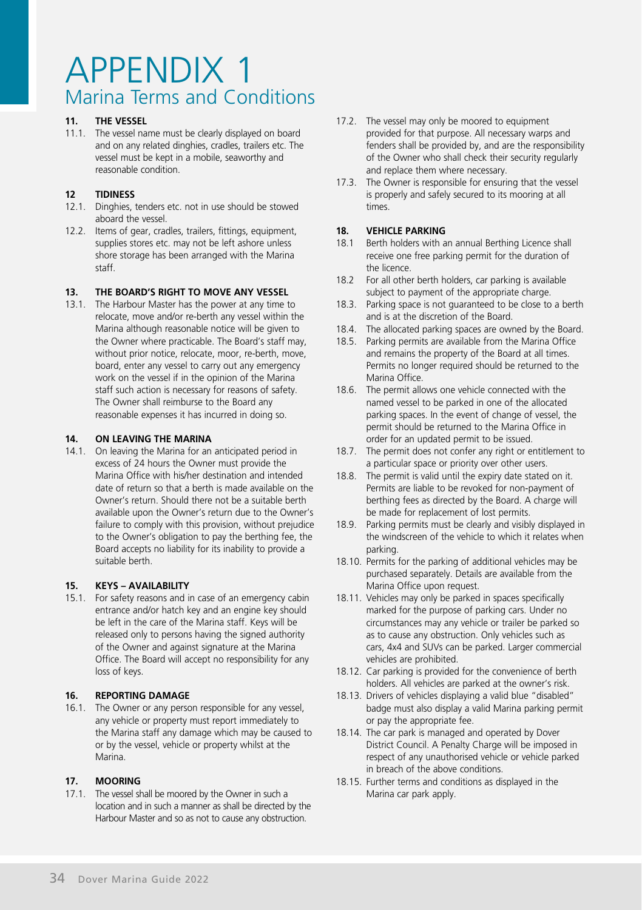#### **11. THE VESSEL**

11.1. The vessel name must be clearly displayed on board and on any related dinghies, cradles, trailers etc. The vessel must be kept in a mobile, seaworthy and reasonable condition.

#### **12 TIDINESS**

- 12.1. Dinghies, tenders etc. not in use should be stowed aboard the vessel.
- 12.2. Items of gear, cradles, trailers, fittings, equipment, supplies stores etc. may not be left ashore unless shore storage has been arranged with the Marina staff.

#### **13. THE BOARD'S RIGHT TO MOVE ANY VESSEL**

13.1. The Harbour Master has the power at any time to relocate, move and/or re-berth any vessel within the Marina although reasonable notice will be given to the Owner where practicable. The Board's staff may, without prior notice, relocate, moor, re-berth, move, board, enter any vessel to carry out any emergency work on the vessel if in the opinion of the Marina staff such action is necessary for reasons of safety. The Owner shall reimburse to the Board any reasonable expenses it has incurred in doing so.

#### **14. ON LEAVING THE MARINA**

14.1. On leaving the Marina for an anticipated period in excess of 24 hours the Owner must provide the Marina Office with his/her destination and intended date of return so that a berth is made available on the Owner's return. Should there not be a suitable berth available upon the Owner's return due to the Owner's failure to comply with this provision, without prejudice to the Owner's obligation to pay the berthing fee, the Board accepts no liability for its inability to provide a suitable berth.

#### **15. KEYS – AVAILABILITY**

15.1. For safety reasons and in case of an emergency cabin entrance and/or hatch key and an engine key should be left in the care of the Marina staff. Keys will be released only to persons having the signed authority of the Owner and against signature at the Marina Office. The Board will accept no responsibility for any loss of keys.

#### **16. REPORTING DAMAGE**

16.1. The Owner or any person responsible for any vessel, any vehicle or property must report immediately to the Marina staff any damage which may be caused to or by the vessel, vehicle or property whilst at the Marina.

#### **17. MOORING**

17.1. The vessel shall be moored by the Owner in such a location and in such a manner as shall be directed by the Harbour Master and so as not to cause any obstruction.

- 17.2. The vessel may only be moored to equipment provided for that purpose. All necessary warps and fenders shall be provided by, and are the responsibility of the Owner who shall check their security regularly and replace them where necessary.
- 17.3. The Owner is responsible for ensuring that the vessel is properly and safely secured to its mooring at all times.

# **18. VEHICLE PARKING**<br>18.1 **Berth holders with a**

- 18.1 Berth holders with an annual Berthing Licence shall receive one free parking permit for the duration of the licence.
- 18.2 For all other berth holders, car parking is available subject to payment of the appropriate charge.
- 18.3. Parking space is not guaranteed to be close to a berth and is at the discretion of the Board.
- 18.4. The allocated parking spaces are owned by the Board.
- 18.5. Parking permits are available from the Marina Office and remains the property of the Board at all times. Permits no longer required should be returned to the Marina Office.
- 18.6. The permit allows one vehicle connected with the named vessel to be parked in one of the allocated parking spaces. In the event of change of vessel, the permit should be returned to the Marina Office in order for an updated permit to be issued.
- 18.7. The permit does not confer any right or entitlement to a particular space or priority over other users.
- 18.8. The permit is valid until the expiry date stated on it. Permits are liable to be revoked for non-payment of berthing fees as directed by the Board. A charge will be made for replacement of lost permits.
- 18.9. Parking permits must be clearly and visibly displayed in the windscreen of the vehicle to which it relates when parking.
- 18.10. Permits for the parking of additional vehicles may be purchased separately. Details are available from the Marina Office upon request.
- 18.11. Vehicles may only be parked in spaces specifically marked for the purpose of parking cars. Under no circumstances may any vehicle or trailer be parked so as to cause any obstruction. Only vehicles such as cars, 4x4 and SUVs can be parked. Larger commercial vehicles are prohibited.
- 18.12. Car parking is provided for the convenience of berth holders. All vehicles are parked at the owner's risk.
- 18.13. Drivers of vehicles displaying a valid blue "disabled" badge must also display a valid Marina parking permit or pay the appropriate fee.
- 18.14. The car park is managed and operated by Dover District Council. A Penalty Charge will be imposed in respect of any unauthorised vehicle or vehicle parked in breach of the above conditions.
- 18.15. Further terms and conditions as displayed in the Marina car park apply.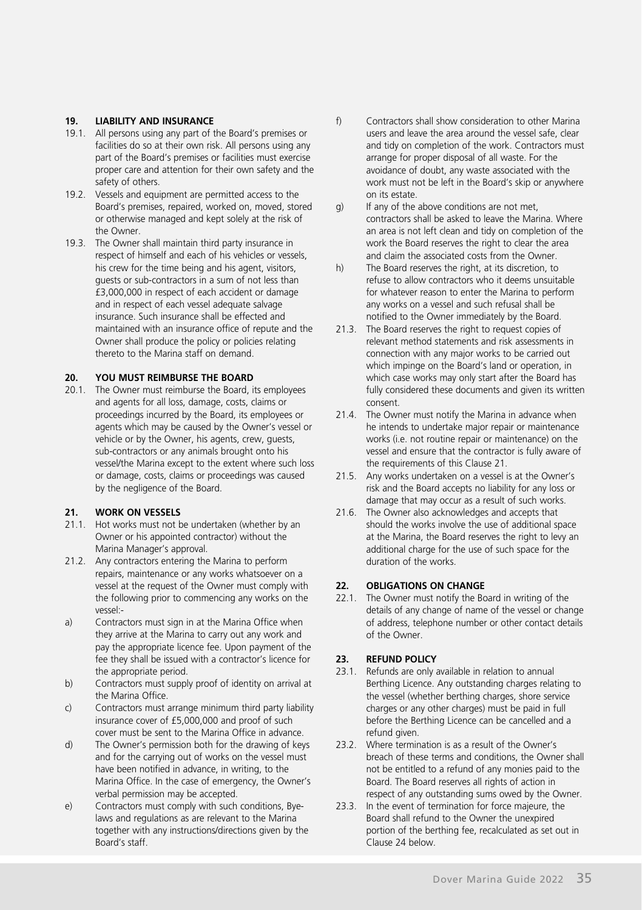#### **19. LIABILITY AND INSURANCE**

- 19.1. All persons using any part of the Board's premises or facilities do so at their own risk. All persons using any part of the Board's premises or facilities must exercise proper care and attention for their own safety and the safety of others.
- 19.2. Vessels and equipment are permitted access to the Board's premises, repaired, worked on, moved, stored or otherwise managed and kept solely at the risk of the Owner.
- 19.3. The Owner shall maintain third party insurance in respect of himself and each of his vehicles or vessels, his crew for the time being and his agent, visitors, guests or sub-contractors in a sum of not less than £3,000,000 in respect of each accident or damage and in respect of each vessel adequate salvage insurance. Such insurance shall be effected and maintained with an insurance office of repute and the Owner shall produce the policy or policies relating thereto to the Marina staff on demand.

#### **20. YOU MUST REIMBURSE THE BOARD**

20.1. The Owner must reimburse the Board, its employees and agents for all loss, damage, costs, claims or proceedings incurred by the Board, its employees or agents which may be caused by the Owner's vessel or vehicle or by the Owner, his agents, crew, guests, sub-contractors or any animals brought onto his vessel/the Marina except to the extent where such loss or damage, costs, claims or proceedings was caused by the negligence of the Board.

#### **21. WORK ON VESSELS**

- 21.1. Hot works must not be undertaken (whether by an Owner or his appointed contractor) without the Marina Manager's approval.
- 21.2. Any contractors entering the Marina to perform repairs, maintenance or any works whatsoever on a vessel at the request of the Owner must comply with the following prior to commencing any works on the vessel:-
- a) Contractors must sign in at the Marina Office when they arrive at the Marina to carry out any work and pay the appropriate licence fee. Upon payment of the fee they shall be issued with a contractor's licence for the appropriate period.
- b) Contractors must supply proof of identity on arrival at the Marina Office.
- c) Contractors must arrange minimum third party liability insurance cover of £5,000,000 and proof of such cover must be sent to the Marina Office in advance.
- d) The Owner's permission both for the drawing of keys and for the carrying out of works on the vessel must have been notified in advance, in writing, to the Marina Office. In the case of emergency, the Owner's verbal permission may be accepted.
- e) Contractors must comply with such conditions, Byelaws and regulations as are relevant to the Marina together with any instructions/directions given by the Board's staff.
- f) Contractors shall show consideration to other Marina users and leave the area around the vessel safe, clear and tidy on completion of the work. Contractors must arrange for proper disposal of all waste. For the avoidance of doubt, any waste associated with the work must not be left in the Board's skip or anywhere on its estate.
- $g(x)$  If any of the above conditions are not met contractors shall be asked to leave the Marina. Where an area is not left clean and tidy on completion of the work the Board reserves the right to clear the area and claim the associated costs from the Owner.
- h) The Board reserves the right, at its discretion, to refuse to allow contractors who it deems unsuitable for whatever reason to enter the Marina to perform any works on a vessel and such refusal shall be notified to the Owner immediately by the Board.
- 21.3. The Board reserves the right to request copies of relevant method statements and risk assessments in connection with any major works to be carried out which impinge on the Board's land or operation, in which case works may only start after the Board has fully considered these documents and given its written consent.
- 21.4. The Owner must notify the Marina in advance when he intends to undertake major repair or maintenance works (i.e. not routine repair or maintenance) on the vessel and ensure that the contractor is fully aware of the requirements of this Clause 21.
- 21.5. Any works undertaken on a vessel is at the Owner's risk and the Board accepts no liability for any loss or damage that may occur as a result of such works.
- 21.6. The Owner also acknowledges and accepts that should the works involve the use of additional space at the Marina, the Board reserves the right to levy an additional charge for the use of such space for the duration of the works.

#### **22. OBLIGATIONS ON CHANGE**

22.1. The Owner must notify the Board in writing of the details of any change of name of the vessel or change of address, telephone number or other contact details of the Owner.

# **23. REFUND POLICY**

- Refunds are only available in relation to annual Berthing Licence. Any outstanding charges relating to the vessel (whether berthing charges, shore service charges or any other charges) must be paid in full before the Berthing Licence can be cancelled and a refund given.
- 23.2. Where termination is as a result of the Owner's breach of these terms and conditions, the Owner shall not be entitled to a refund of any monies paid to the Board. The Board reserves all rights of action in respect of any outstanding sums owed by the Owner.
- 23.3. In the event of termination for force majeure, the Board shall refund to the Owner the unexpired portion of the berthing fee, recalculated as set out in Clause 24 below.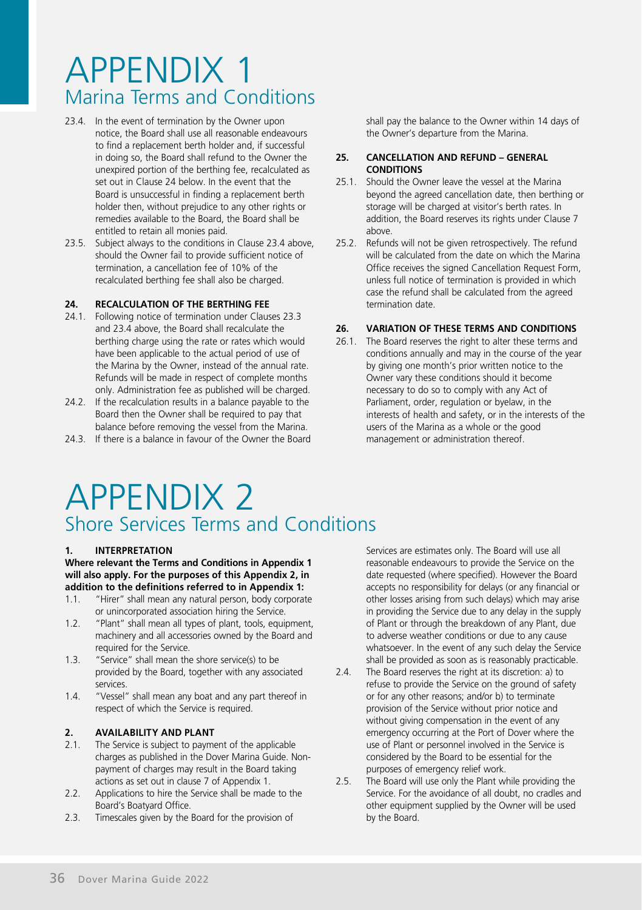- 23.4. In the event of termination by the Owner upon notice, the Board shall use all reasonable endeavours to find a replacement berth holder and, if successful in doing so, the Board shall refund to the Owner the unexpired portion of the berthing fee, recalculated as set out in Clause 24 below. In the event that the Board is unsuccessful in finding a replacement berth holder then, without prejudice to any other rights or remedies available to the Board, the Board shall be entitled to retain all monies paid.
- 23.5. Subject always to the conditions in Clause 23.4 above, should the Owner fail to provide sufficient notice of termination, a cancellation fee of 10% of the recalculated berthing fee shall also be charged.

#### **24. RECALCULATION OF THE BERTHING FEE**

- 24.1. Following notice of termination under Clauses 23.3 and 23.4 above, the Board shall recalculate the berthing charge using the rate or rates which would have been applicable to the actual period of use of the Marina by the Owner, instead of the annual rate. Refunds will be made in respect of complete months only. Administration fee as published will be charged.
- 24.2. If the recalculation results in a balance payable to the Board then the Owner shall be required to pay that balance before removing the vessel from the Marina.
- 24.3. If there is a balance in favour of the Owner the Board

shall pay the balance to the Owner within 14 days of the Owner's departure from the Marina.

#### **25. CANCELLATION AND REFUND – GENERAL CONDITIONS**

- 25.1. Should the Owner leave the vessel at the Marina beyond the agreed cancellation date, then berthing or storage will be charged at visitor's berth rates. In addition, the Board reserves its rights under Clause 7 above.
- 25.2. Refunds will not be given retrospectively. The refund will be calculated from the date on which the Marina Office receives the signed Cancellation Request Form, unless full notice of termination is provided in which case the refund shall be calculated from the agreed termination date.

#### **26. VARIATION OF THESE TERMS AND CONDITIONS**

26.1. The Board reserves the right to alter these terms and conditions annually and may in the course of the year by giving one month's prior written notice to the Owner vary these conditions should it become necessary to do so to comply with any Act of Parliament, order, regulation or byelaw, in the interests of health and safety, or in the interests of the users of the Marina as a whole or the good management or administration thereof.

# APPENDIX 2 Shore Services Terms and Conditions

#### **1. INTERPRETATION**

**Where relevant the Terms and Conditions in Appendix 1 will also apply. For the purposes of this Appendix 2, in addition to the definitions referred to in Appendix 1:**

- 1.1. "Hirer" shall mean any natural person, body corporate or unincorporated association hiring the Service.
- 1.2. "Plant" shall mean all types of plant, tools, equipment, machinery and all accessories owned by the Board and required for the Service.
- 1.3. "Service" shall mean the shore service(s) to be provided by the Board, together with any associated services.
- 1.4. "Vessel" shall mean any boat and any part thereof in respect of which the Service is required.

# **2. AVAILABILITY AND PLANT**<br>2.1 The Service is subject to navme

- The Service is subject to payment of the applicable charges as published in the Dover Marina Guide. Nonpayment of charges may result in the Board taking actions as set out in clause 7 of Appendix 1.
- 2.2. Applications to hire the Service shall be made to the Board's Boatyard Office.
- 2.3. Timescales given by the Board for the provision of

Services are estimates only. The Board will use all reasonable endeavours to provide the Service on the date requested (where specified). However the Board accepts no responsibility for delays (or any financial or other losses arising from such delays) which may arise in providing the Service due to any delay in the supply of Plant or through the breakdown of any Plant, due to adverse weather conditions or due to any cause whatsoever. In the event of any such delay the Service shall be provided as soon as is reasonably practicable.

- 2.4. The Board reserves the right at its discretion: a) to refuse to provide the Service on the ground of safety or for any other reasons; and/or b) to terminate provision of the Service without prior notice and without giving compensation in the event of any emergency occurring at the Port of Dover where the use of Plant or personnel involved in the Service is considered by the Board to be essential for the purposes of emergency relief work.
- 2.5. The Board will use only the Plant while providing the Service. For the avoidance of all doubt, no cradles and other equipment supplied by the Owner will be used by the Board.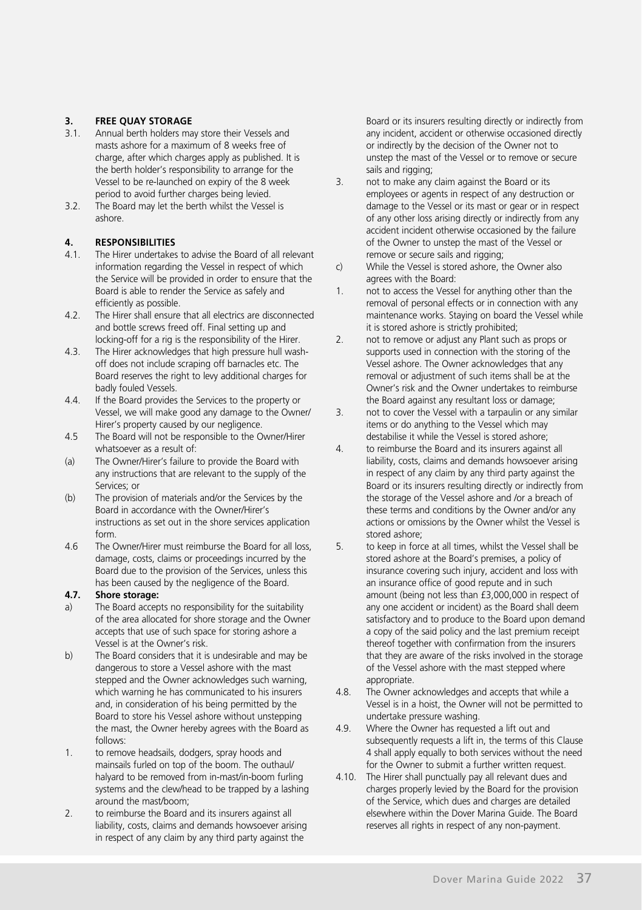# **3. FREE QUAY STORAGE**<br>**3.1.** Annual berth holders ma

- 3.1. Annual berth holders may store their Vessels and masts ashore for a maximum of 8 weeks free of charge, after which charges apply as published. It is the berth holder's responsibility to arrange for the Vessel to be re-launched on expiry of the 8 week period to avoid further charges being levied.
- 3.2. The Board may let the berth whilst the Vessel is ashore.

# **4. RESPONSIBILITIES**<br>4.1 The Hirer undertakes

- The Hirer undertakes to advise the Board of all relevant information regarding the Vessel in respect of which the Service will be provided in order to ensure that the Board is able to render the Service as safely and efficiently as possible.
- 4.2. The Hirer shall ensure that all electrics are disconnected and bottle screws freed off. Final setting up and locking-off for a rig is the responsibility of the Hirer.
- 4.3. The Hirer acknowledges that high pressure hull washoff does not include scraping off barnacles etc. The Board reserves the right to levy additional charges for badly fouled Vessels.
- 4.4. If the Board provides the Services to the property or Vessel, we will make good any damage to the Owner/ Hirer's property caused by our negligence.
- 4.5 The Board will not be responsible to the Owner/Hirer whatsoever as a result of:
- (a) The Owner/Hirer's failure to provide the Board with any instructions that are relevant to the supply of the Services; or
- (b) The provision of materials and/or the Services by the Board in accordance with the Owner/Hirer's instructions as set out in the shore services application form.
- 4.6 The Owner/Hirer must reimburse the Board for all loss, damage, costs, claims or proceedings incurred by the Board due to the provision of the Services, unless this has been caused by the negligence of the Board.

#### **4.7. Shore storage:**

- a) The Board accepts no responsibility for the suitability of the area allocated for shore storage and the Owner accepts that use of such space for storing ashore a Vessel is at the Owner's risk.
- b) The Board considers that it is undesirable and may be dangerous to store a Vessel ashore with the mast stepped and the Owner acknowledges such warning which warning he has communicated to his insurers and, in consideration of his being permitted by the Board to store his Vessel ashore without unstepping the mast, the Owner hereby agrees with the Board as follows:
- 1. to remove headsails, dodgers, spray hoods and mainsails furled on top of the boom. The outhaul/ halyard to be removed from in-mast/in-boom furling systems and the clew/head to be trapped by a lashing around the mast/boom;
- 2. to reimburse the Board and its insurers against all liability, costs, claims and demands howsoever arising in respect of any claim by any third party against the

Board or its insurers resulting directly or indirectly from any incident, accident or otherwise occasioned directly or indirectly by the decision of the Owner not to unstep the mast of the Vessel or to remove or secure sails and rigging;

- 3. not to make any claim against the Board or its employees or agents in respect of any destruction or damage to the Vessel or its mast or gear or in respect of any other loss arising directly or indirectly from any accident incident otherwise occasioned by the failure of the Owner to unstep the mast of the Vessel or remove or secure sails and rigging;
- c) While the Vessel is stored ashore, the Owner also agrees with the Board:
- 1. not to access the Vessel for anything other than the removal of personal effects or in connection with any maintenance works. Staying on board the Vessel while it is stored ashore is strictly prohibited;
- 2. not to remove or adjust any Plant such as props or supports used in connection with the storing of the Vessel ashore. The Owner acknowledges that any removal or adjustment of such items shall be at the Owner's risk and the Owner undertakes to reimburse the Board against any resultant loss or damage;
- 3. not to cover the Vessel with a tarpaulin or any similar items or do anything to the Vessel which may destabilise it while the Vessel is stored ashore;
- 4. to reimburse the Board and its insurers against all liability, costs, claims and demands howsoever arising in respect of any claim by any third party against the Board or its insurers resulting directly or indirectly from the storage of the Vessel ashore and /or a breach of these terms and conditions by the Owner and/or any actions or omissions by the Owner whilst the Vessel is stored ashore;
- 5. to keep in force at all times, whilst the Vessel shall be stored ashore at the Board's premises, a policy of insurance covering such injury, accident and loss with an insurance office of good repute and in such amount (being not less than £3,000,000 in respect of any one accident or incident) as the Board shall deem satisfactory and to produce to the Board upon demand a copy of the said policy and the last premium receipt thereof together with confirmation from the insurers that they are aware of the risks involved in the storage of the Vessel ashore with the mast stepped where appropriate.
- 4.8. The Owner acknowledges and accepts that while a Vessel is in a hoist, the Owner will not be permitted to undertake pressure washing.
- 4.9. Where the Owner has requested a lift out and subsequently requests a lift in, the terms of this Clause 4 shall apply equally to both services without the need for the Owner to submit a further written request.
- 4.10. The Hirer shall punctually pay all relevant dues and charges properly levied by the Board for the provision of the Service, which dues and charges are detailed elsewhere within the Dover Marina Guide. The Board reserves all rights in respect of any non-payment.